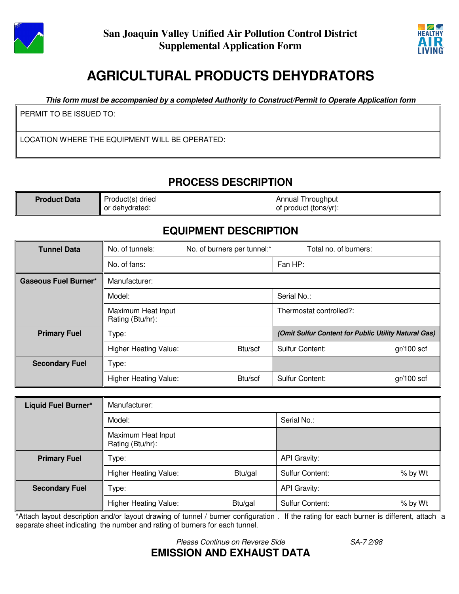



# **AGRICULTURAL PRODUCTS DEHYDRATORS**

**This form must be accompanied by a completed Authority to Construct/Permit to Operate Application form**

PERMIT TO BE ISSUED TO:

LOCATION WHERE THE EQUIPMENT WILL BE OPERATED:

### **PROCESS DESCRIPTION**

| <b>Product Data</b> | Product(s) dried | <b>Annual Throughput</b> |
|---------------------|------------------|--------------------------|
|                     | or dehydrated:   | of product (tons/yr):    |

#### **EQUIPMENT DESCRIPTION**

| <b>Tunnel Data</b>    | No. of tunnels:                        | No. of burners per tunnel:* | Total no. of burners:                                |              |
|-----------------------|----------------------------------------|-----------------------------|------------------------------------------------------|--------------|
|                       | No. of fans:                           |                             | Fan HP:                                              |              |
| Gaseous Fuel Burner*  | Manufacturer:                          |                             |                                                      |              |
|                       | Model:                                 |                             | Serial No.:                                          |              |
|                       | Maximum Heat Input<br>Rating (Btu/hr): |                             | Thermostat controlled?:                              |              |
| <b>Primary Fuel</b>   | Type:                                  |                             | (Omit Sulfur Content for Public Utility Natural Gas) |              |
|                       | <b>Higher Heating Value:</b>           | Btu/scf                     | Sulfur Content:                                      | $gr/100$ scf |
| <b>Secondary Fuel</b> | Type:                                  |                             |                                                      |              |
|                       | <b>Higher Heating Value:</b>           | Btu/scf                     | Sulfur Content:                                      | $gr/100$ scf |

| <b>Liquid Fuel Burner*</b> | Manufacturer:                          |         |                        |         |
|----------------------------|----------------------------------------|---------|------------------------|---------|
|                            | Model:                                 |         | Serial No.:            |         |
|                            | Maximum Heat Input<br>Rating (Btu/hr): |         |                        |         |
| <b>Primary Fuel</b>        | Type:                                  |         | <b>API Gravity:</b>    |         |
|                            | <b>Higher Heating Value:</b>           | Btu/gal | <b>Sulfur Content:</b> | % by Wt |
| <b>Secondary Fuel</b>      | Type:                                  |         | <b>API Gravity:</b>    |         |
|                            | <b>Higher Heating Value:</b>           | Btu/gal | <b>Sulfur Content:</b> | % by Wt |

\*Attach layout description and/or layout drawing of tunnel / burner configuration . If the rating for each burner is different, attach a separate sheet indicating the number and rating of burners for each tunnel.

#### Please Continue on Reverse Side SA-7 2/98 **EMISSION AND EXHAUST DATA**